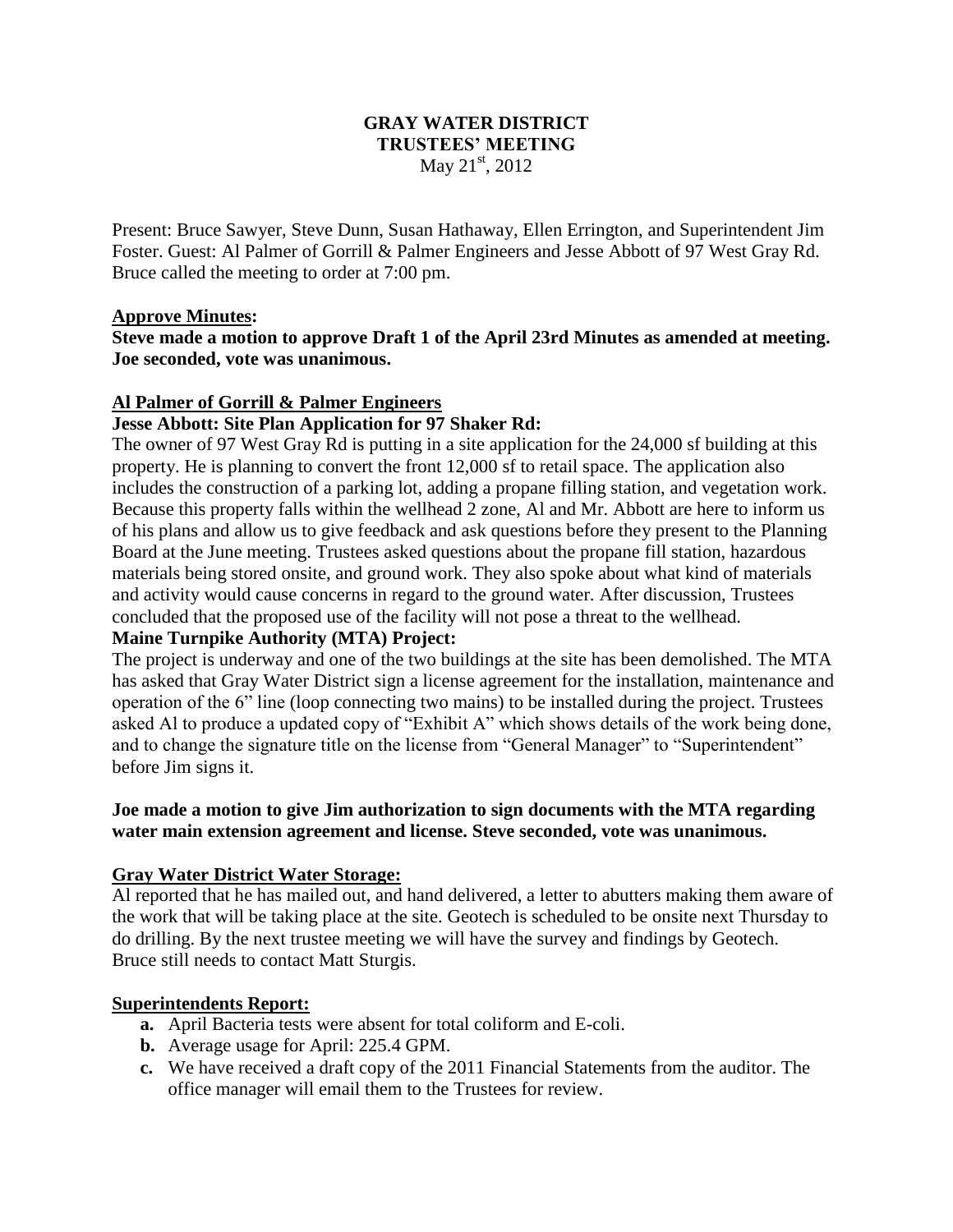#### **GRAY WATER DISTRICT TRUSTEES' MEETING** May  $21^{st}$ , 2012

Present: Bruce Sawyer, Steve Dunn, Susan Hathaway, Ellen Errington, and Superintendent Jim Foster. Guest: Al Palmer of Gorrill & Palmer Engineers and Jesse Abbott of 97 West Gray Rd. Bruce called the meeting to order at 7:00 pm.

#### **Approve Minutes:**

**Steve made a motion to approve Draft 1 of the April 23rd Minutes as amended at meeting. Joe seconded, vote was unanimous.**

# **Al Palmer of Gorrill & Palmer Engineers**

### **Jesse Abbott: Site Plan Application for 97 Shaker Rd:**

The owner of 97 West Gray Rd is putting in a site application for the 24,000 sf building at this property. He is planning to convert the front 12,000 sf to retail space. The application also includes the construction of a parking lot, adding a propane filling station, and vegetation work. Because this property falls within the wellhead 2 zone, Al and Mr. Abbott are here to inform us of his plans and allow us to give feedback and ask questions before they present to the Planning Board at the June meeting. Trustees asked questions about the propane fill station, hazardous materials being stored onsite, and ground work. They also spoke about what kind of materials and activity would cause concerns in regard to the ground water. After discussion, Trustees concluded that the proposed use of the facility will not pose a threat to the wellhead.

### **Maine Turnpike Authority (MTA) Project:**

The project is underway and one of the two buildings at the site has been demolished. The MTA has asked that Gray Water District sign a license agreement for the installation, maintenance and operation of the 6" line (loop connecting two mains) to be installed during the project. Trustees asked Al to produce a updated copy of "Exhibit A" which shows details of the work being done, and to change the signature title on the license from "General Manager" to "Superintendent" before Jim signs it.

#### **Joe made a motion to give Jim authorization to sign documents with the MTA regarding water main extension agreement and license. Steve seconded, vote was unanimous.**

#### **Gray Water District Water Storage:**

Al reported that he has mailed out, and hand delivered, a letter to abutters making them aware of the work that will be taking place at the site. Geotech is scheduled to be onsite next Thursday to do drilling. By the next trustee meeting we will have the survey and findings by Geotech. Bruce still needs to contact Matt Sturgis.

#### **Superintendents Report:**

- **a.** April Bacteria tests were absent for total coliform and E-coli.
- **b.** Average usage for April: 225.4 GPM.
- **c.** We have received a draft copy of the 2011 Financial Statements from the auditor. The office manager will email them to the Trustees for review.